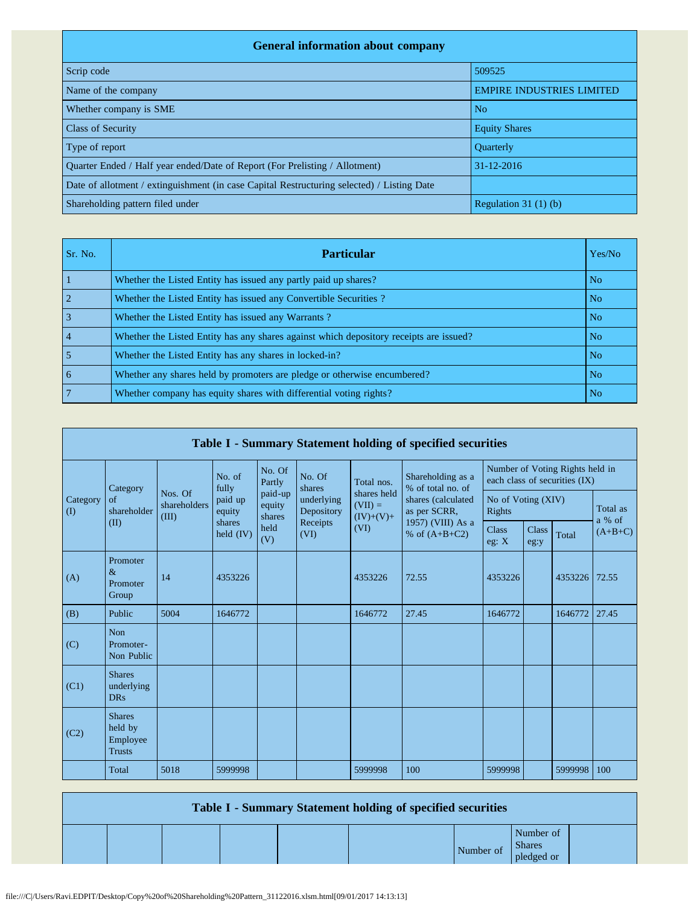| <b>General information about company</b>                                                   |                                  |
|--------------------------------------------------------------------------------------------|----------------------------------|
| Scrip code                                                                                 | 509525                           |
| Name of the company                                                                        | <b>EMPIRE INDUSTRIES LIMITED</b> |
| Whether company is SME                                                                     | N <sub>o</sub>                   |
| <b>Class of Security</b>                                                                   | <b>Equity Shares</b>             |
| Type of report                                                                             | <b>Ouarterly</b>                 |
| Ouarter Ended / Half year ended/Date of Report (For Prelisting / Allotment)                | 31-12-2016                       |
| Date of allotment / extinguishment (in case Capital Restructuring selected) / Listing Date |                                  |
| Shareholding pattern filed under                                                           | Regulation $31(1)(b)$            |

| Sr. No.        | <b>Particular</b>                                                                      | Yes/No         |
|----------------|----------------------------------------------------------------------------------------|----------------|
|                | Whether the Listed Entity has issued any partly paid up shares?                        | N <sub>o</sub> |
|                | Whether the Listed Entity has issued any Convertible Securities?                       | N <sub>o</sub> |
|                | Whether the Listed Entity has issued any Warrants?                                     | N <sub>o</sub> |
| $\overline{4}$ | Whether the Listed Entity has any shares against which depository receipts are issued? | N <sub>o</sub> |
|                | Whether the Listed Entity has any shares in locked-in?                                 | N <sub>o</sub> |
| 6              | Whether any shares held by promoters are pledge or otherwise encumbered?               | N <sub>o</sub> |
|                | Whether company has equity shares with differential voting rights?                     | N <sub>o</sub> |

| Table I - Summary Statement holding of specified securities |                                                       |                                  |                       |                             |                                              |                                         |                                        |                              |                      |                                                                  |                    |  |
|-------------------------------------------------------------|-------------------------------------------------------|----------------------------------|-----------------------|-----------------------------|----------------------------------------------|-----------------------------------------|----------------------------------------|------------------------------|----------------------|------------------------------------------------------------------|--------------------|--|
|                                                             | Category                                              |                                  | No. of<br>fully       | No. Of<br>Partly            | No. Of<br>shares                             | Total nos.                              | Shareholding as a<br>% of total no. of |                              |                      | Number of Voting Rights held in<br>each class of securities (IX) |                    |  |
| Category<br>$\rm (I)$                                       | of<br>shareholder                                     | Nos. Of<br>shareholders<br>(III) | paid up<br>equity     | paid-up<br>equity<br>shares | underlying<br>Depository<br>Receipts<br>(VI) | shares held<br>$(VII) =$<br>$(IV)+(V)+$ | shares (calculated<br>as per SCRR,     | No of Voting (XIV)<br>Rights |                      |                                                                  | Total as<br>a % of |  |
|                                                             | (II)                                                  |                                  | shares<br>held $(IV)$ | held<br>(V)                 |                                              | (VI)                                    | 1957) (VIII) As a<br>% of $(A+B+C2)$   | <b>Class</b><br>eg: X        | <b>Class</b><br>eg:y | Total                                                            | $(A+B+C)$          |  |
| (A)                                                         | Promoter<br>$\&$<br>Promoter<br>Group                 | 14                               | 4353226               |                             |                                              | 4353226                                 | 72.55                                  | 4353226                      |                      | 4353226                                                          | 72.55              |  |
| (B)                                                         | Public                                                | 5004                             | 1646772               |                             |                                              | 1646772                                 | 27.45                                  | 1646772                      |                      | 1646772                                                          | 27.45              |  |
| (C)                                                         | Non<br>Promoter-<br>Non Public                        |                                  |                       |                             |                                              |                                         |                                        |                              |                      |                                                                  |                    |  |
| (C1)                                                        | <b>Shares</b><br>underlying<br><b>DRs</b>             |                                  |                       |                             |                                              |                                         |                                        |                              |                      |                                                                  |                    |  |
| (C2)                                                        | <b>Shares</b><br>held by<br>Employee<br><b>Trusts</b> |                                  |                       |                             |                                              |                                         |                                        |                              |                      |                                                                  |                    |  |
|                                                             | Total                                                 | 5018                             | 5999998               |                             |                                              | 5999998                                 | 100                                    | 5999998                      |                      | 5999998                                                          | 100                |  |

| Table I - Summary Statement holding of specified securities |  |  |  |  |           |                                          |  |  |  |  |
|-------------------------------------------------------------|--|--|--|--|-----------|------------------------------------------|--|--|--|--|
|                                                             |  |  |  |  | Number of | Number of<br><b>Shares</b><br>pledged or |  |  |  |  |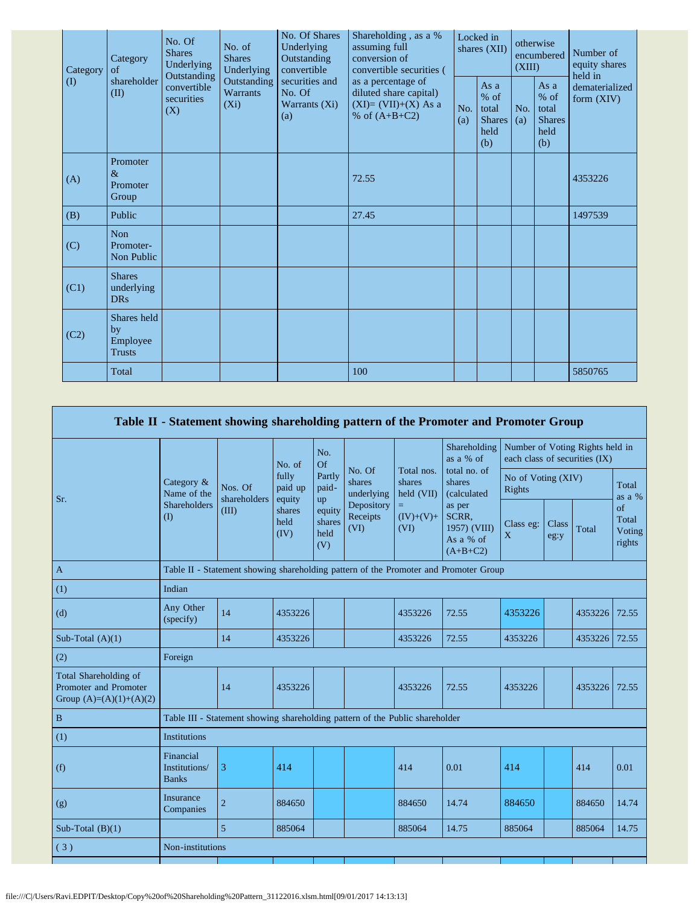| Category | No. Of Shares<br>No. Of<br>Underlying<br>No. of<br><b>Shares</b><br><b>Shares</b><br>Category<br>Outstanding<br>Underlying<br>Underlying<br>convertible<br>of<br>Outstanding<br>shareholder<br>Outstanding<br>securities and<br>convertible<br>Warrants<br>(II)<br>No. Of<br>securities<br>$(X_i)$<br>Warrants (Xi)<br>(X)<br>(a)<br>Promoter |                                                                    |            | Shareholding, as a %<br>assuming full<br>conversion of<br>convertible securities (<br>as a percentage of | Locked in<br>shares (XII) |                                                         | otherwise<br>encumbered<br>(XIII) |  | Number of<br>equity shares<br>held in |
|----------|-----------------------------------------------------------------------------------------------------------------------------------------------------------------------------------------------------------------------------------------------------------------------------------------------------------------------------------------------|--------------------------------------------------------------------|------------|----------------------------------------------------------------------------------------------------------|---------------------------|---------------------------------------------------------|-----------------------------------|--|---------------------------------------|
| $\rm(D)$ |                                                                                                                                                                                                                                                                                                                                               | diluted share capital)<br>$(XI)=(VII)+(X) As a$<br>% of $(A+B+C2)$ | No.<br>(a) | As a<br>$%$ of<br>total<br><b>Shares</b><br>held<br>(b)                                                  | No.<br>(a)                | As a<br>$%$ of<br>total<br><b>Shares</b><br>held<br>(b) | dematerialized<br>form $(XIV)$    |  |                                       |
| (A)      | $\&$<br>Promoter<br>Group                                                                                                                                                                                                                                                                                                                     |                                                                    |            | 72.55                                                                                                    |                           |                                                         |                                   |  | 4353226                               |
| (B)      | Public                                                                                                                                                                                                                                                                                                                                        |                                                                    |            | 27.45                                                                                                    |                           |                                                         |                                   |  | 1497539                               |
| (C)      | Non<br>Promoter-<br>Non Public                                                                                                                                                                                                                                                                                                                |                                                                    |            |                                                                                                          |                           |                                                         |                                   |  |                                       |
| (C1)     | <b>Shares</b><br>underlying<br><b>DRs</b>                                                                                                                                                                                                                                                                                                     |                                                                    |            |                                                                                                          |                           |                                                         |                                   |  |                                       |
| (C2)     | Shares held<br>by<br>Employee<br><b>Trusts</b>                                                                                                                                                                                                                                                                                                |                                                                    |            |                                                                                                          |                           |                                                         |                                   |  |                                       |
|          | Total                                                                                                                                                                                                                                                                                                                                         |                                                                    |            | 100                                                                                                      |                           |                                                         |                                   |  | 5850765                               |

|                                                                             |                                            |                                                                                      |                                                      |                                 |                                |                                    | Table II - Statement showing shareholding pattern of the Promoter and Promoter Group                |                              |                                                                  |         |                                 |  |
|-----------------------------------------------------------------------------|--------------------------------------------|--------------------------------------------------------------------------------------|------------------------------------------------------|---------------------------------|--------------------------------|------------------------------------|-----------------------------------------------------------------------------------------------------|------------------------------|------------------------------------------------------------------|---------|---------------------------------|--|
|                                                                             |                                            |                                                                                      | No. of                                               | No.<br>Of                       |                                |                                    | Shareholding<br>as a % of                                                                           |                              | Number of Voting Rights held in<br>each class of securities (IX) |         |                                 |  |
| Sr.                                                                         | Category &<br>Name of the                  | Nos. Of<br>shareholders                                                              | fully<br>paid up<br>equity<br>shares<br>held<br>(IV) | Partly<br>paid-<br>up           | No. Of<br>shares<br>underlying | Total nos.<br>shares<br>held (VII) | total no. of<br>shares<br>(calculated<br>as per<br>SCRR,<br>1957) (VIII)<br>As a % of<br>$(A+B+C2)$ | No of Voting (XIV)<br>Rights |                                                                  |         | Total<br>as a %                 |  |
|                                                                             | Shareholders<br>(1)                        | (III)                                                                                |                                                      | equity<br>shares<br>held<br>(V) | Depository<br>Receipts<br>(VI) | $=$<br>$(IV)+(V)+$<br>(VI)         |                                                                                                     | Class eg:<br>X               | Class<br>eg:y                                                    | Total   | of<br>Total<br>Voting<br>rights |  |
| $\mathbf{A}$                                                                |                                            | Table II - Statement showing shareholding pattern of the Promoter and Promoter Group |                                                      |                                 |                                |                                    |                                                                                                     |                              |                                                                  |         |                                 |  |
| (1)                                                                         | Indian                                     |                                                                                      |                                                      |                                 |                                |                                    |                                                                                                     |                              |                                                                  |         |                                 |  |
| (d)                                                                         | Any Other<br>(specify)                     | 14                                                                                   | 4353226                                              |                                 |                                | 4353226                            | 72.55                                                                                               | 4353226                      |                                                                  | 4353226 | 72.55                           |  |
| Sub-Total $(A)(1)$                                                          |                                            | 14                                                                                   | 4353226                                              |                                 |                                | 4353226                            | 72.55                                                                                               | 4353226                      |                                                                  | 4353226 | 72.55                           |  |
| (2)                                                                         | Foreign                                    |                                                                                      |                                                      |                                 |                                |                                    |                                                                                                     |                              |                                                                  |         |                                 |  |
| Total Shareholding of<br>Promoter and Promoter<br>Group $(A)=(A)(1)+(A)(2)$ |                                            | 14                                                                                   | 4353226                                              |                                 |                                | 4353226                            | 72.55                                                                                               | 4353226                      |                                                                  | 4353226 | 72.55                           |  |
| $\, {\bf B}$                                                                |                                            | Table III - Statement showing shareholding pattern of the Public shareholder         |                                                      |                                 |                                |                                    |                                                                                                     |                              |                                                                  |         |                                 |  |
| (1)                                                                         | Institutions                               |                                                                                      |                                                      |                                 |                                |                                    |                                                                                                     |                              |                                                                  |         |                                 |  |
| (f)                                                                         | Financial<br>Institutions/<br><b>Banks</b> | 3                                                                                    | 414                                                  |                                 |                                | 414                                | 0.01                                                                                                | 414                          |                                                                  | 414     | 0.01                            |  |
| (g)                                                                         | Insurance<br>Companies                     | $\overline{c}$                                                                       | 884650                                               |                                 |                                | 884650                             | 14.74                                                                                               | 884650                       |                                                                  | 884650  | 14.74                           |  |
| Sub-Total $(B)(1)$                                                          |                                            | $\overline{5}$                                                                       | 885064                                               |                                 |                                | 885064                             | 14.75                                                                                               | 885064                       |                                                                  | 885064  | 14.75                           |  |
| (3)                                                                         | Non-institutions                           |                                                                                      |                                                      |                                 |                                |                                    |                                                                                                     |                              |                                                                  |         |                                 |  |
|                                                                             |                                            |                                                                                      |                                                      |                                 |                                |                                    |                                                                                                     |                              |                                                                  |         |                                 |  |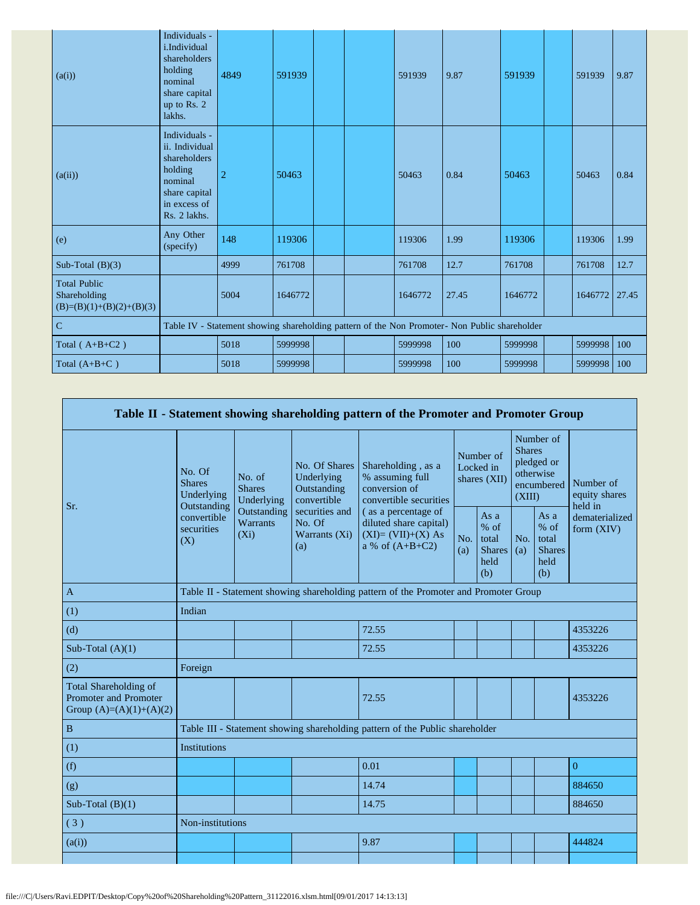| (a(i))                                                            | Individuals -<br>i.Individual<br>shareholders<br>holding<br>nominal<br>share capital<br>up to Rs. 2<br>lakhs.          | 4849           | 591939  |  | 591939  | 9.87                                                                                          | 591939  | 591939        | 9.87 |
|-------------------------------------------------------------------|------------------------------------------------------------------------------------------------------------------------|----------------|---------|--|---------|-----------------------------------------------------------------------------------------------|---------|---------------|------|
| (a(ii))                                                           | Individuals -<br>ii. Individual<br>shareholders<br>holding<br>nominal<br>share capital<br>in excess of<br>Rs. 2 lakhs. | $\overline{2}$ | 50463   |  | 50463   | 0.84                                                                                          | 50463   | 50463         | 0.84 |
| (e)                                                               | Any Other<br>(specify)                                                                                                 | 148            | 119306  |  | 119306  | 1.99                                                                                          | 119306  | 119306        | 1.99 |
| Sub-Total $(B)(3)$                                                |                                                                                                                        | 4999           | 761708  |  | 761708  | 12.7                                                                                          | 761708  | 761708        | 12.7 |
| <b>Total Public</b><br>Shareholding<br>$(B)=(B)(1)+(B)(2)+(B)(3)$ |                                                                                                                        | 5004           | 1646772 |  | 1646772 | 27.45                                                                                         | 1646772 | 1646772 27.45 |      |
| $\overline{C}$                                                    |                                                                                                                        |                |         |  |         | Table IV - Statement showing shareholding pattern of the Non Promoter- Non Public shareholder |         |               |      |
| Total $(A+B+C2)$                                                  |                                                                                                                        | 5018           | 5999998 |  | 5999998 | 100                                                                                           | 5999998 | 5999998       | 100  |
| Total $(A+B+C)$                                                   |                                                                                                                        | 5018           | 5999998 |  | 5999998 | 100                                                                                           | 5999998 | 5999998       | 100  |

|                                                                                           |                                                      |                                           |                                                           | Table II - Statement showing shareholding pattern of the Promoter and Promoter Group      |                                        |                                                         |                                                                               |                                                         |                                       |  |  |
|-------------------------------------------------------------------------------------------|------------------------------------------------------|-------------------------------------------|-----------------------------------------------------------|-------------------------------------------------------------------------------------------|----------------------------------------|---------------------------------------------------------|-------------------------------------------------------------------------------|---------------------------------------------------------|---------------------------------------|--|--|
|                                                                                           | No. Of<br><b>Shares</b><br>Underlying<br>Outstanding | No. of<br><b>Shares</b><br>Underlying     | No. Of Shares<br>Underlying<br>Outstanding<br>convertible | Shareholding, as a<br>% assuming full<br>conversion of<br>convertible securities          | Number of<br>Locked in<br>shares (XII) |                                                         | Number of<br><b>Shares</b><br>pledged or<br>otherwise<br>encumbered<br>(XIII) |                                                         | Number of<br>equity shares<br>held in |  |  |
| Sr.                                                                                       | convertible<br>securities<br>(X)                     | Outstanding<br><b>Warrants</b><br>$(X_i)$ | securities and<br>No. Of<br>Warrants (Xi)<br>(a)          | (as a percentage of<br>diluted share capital)<br>$(XI)=(VII)+(X) As$<br>a % of $(A+B+C2)$ |                                        | As a<br>$%$ of<br>total<br><b>Shares</b><br>held<br>(b) | No.<br>(a)                                                                    | As a<br>$%$ of<br>total<br><b>Shares</b><br>held<br>(b) | dematerialized<br>form (XIV)          |  |  |
| $\mathbf{A}$                                                                              |                                                      |                                           |                                                           | Table II - Statement showing shareholding pattern of the Promoter and Promoter Group      |                                        |                                                         |                                                                               |                                                         |                                       |  |  |
| (1)                                                                                       | Indian                                               |                                           |                                                           |                                                                                           |                                        |                                                         |                                                                               |                                                         |                                       |  |  |
| (d)                                                                                       |                                                      |                                           |                                                           | 72.55                                                                                     |                                        |                                                         |                                                                               |                                                         | 4353226                               |  |  |
| Sub-Total $(A)(1)$                                                                        |                                                      |                                           |                                                           | 72.55                                                                                     |                                        |                                                         |                                                                               |                                                         | 4353226                               |  |  |
| (2)                                                                                       | Foreign                                              |                                           |                                                           |                                                                                           |                                        |                                                         |                                                                               |                                                         |                                       |  |  |
| <b>Total Shareholding of</b><br><b>Promoter and Promoter</b><br>Group $(A)=(A)(1)+(A)(2)$ |                                                      |                                           |                                                           | 72.55                                                                                     |                                        |                                                         |                                                                               |                                                         | 4353226                               |  |  |
| $\, {\bf B}$                                                                              |                                                      |                                           |                                                           | Table III - Statement showing shareholding pattern of the Public shareholder              |                                        |                                                         |                                                                               |                                                         |                                       |  |  |
| (1)                                                                                       | <b>Institutions</b>                                  |                                           |                                                           |                                                                                           |                                        |                                                         |                                                                               |                                                         |                                       |  |  |
| (f)                                                                                       |                                                      |                                           |                                                           | 0.01                                                                                      |                                        |                                                         |                                                                               |                                                         | $\overline{0}$                        |  |  |
| (g)                                                                                       |                                                      |                                           |                                                           | 14.74                                                                                     |                                        |                                                         |                                                                               |                                                         | 884650                                |  |  |
| Sub-Total $(B)(1)$                                                                        |                                                      |                                           |                                                           | 14.75                                                                                     |                                        |                                                         |                                                                               |                                                         | 884650                                |  |  |
| (3)                                                                                       | Non-institutions                                     |                                           |                                                           |                                                                                           |                                        |                                                         |                                                                               |                                                         |                                       |  |  |
| (a(i))                                                                                    |                                                      |                                           |                                                           | 9.87                                                                                      |                                        |                                                         |                                                                               |                                                         | 444824                                |  |  |
|                                                                                           |                                                      |                                           |                                                           |                                                                                           |                                        |                                                         |                                                                               |                                                         |                                       |  |  |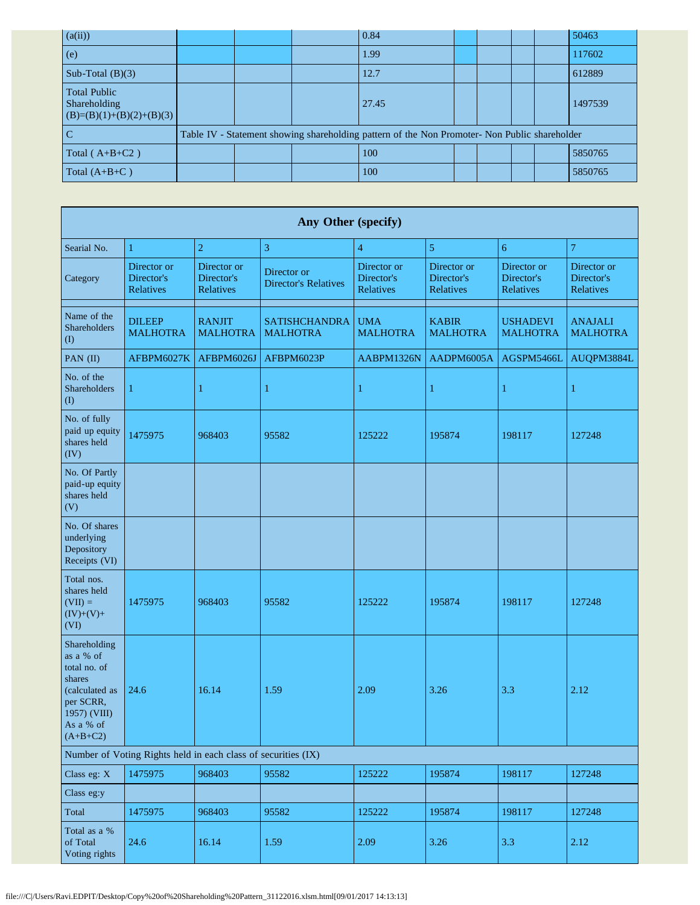| (a(ii))                                                           |  | 0.84                                                                                          |  |  | 50463   |
|-------------------------------------------------------------------|--|-----------------------------------------------------------------------------------------------|--|--|---------|
| (e)                                                               |  | 1.99                                                                                          |  |  | 117602  |
| Sub-Total $(B)(3)$                                                |  | 12.7                                                                                          |  |  | 612889  |
| <b>Total Public</b><br>Shareholding<br>$(B)=(B)(1)+(B)(2)+(B)(3)$ |  | 27.45                                                                                         |  |  | 1497539 |
|                                                                   |  | Table IV - Statement showing shareholding pattern of the Non Promoter- Non Public shareholder |  |  |         |
| Total ( $A+B+C2$ )                                                |  | 100                                                                                           |  |  | 5850765 |
| Total $(A+B+C)$                                                   |  | 100                                                                                           |  |  | 5850765 |

|                                                                                                                               |                                                               |                                        | Any Other (specify)                        |                                        |                                               |                                        |                                        |
|-------------------------------------------------------------------------------------------------------------------------------|---------------------------------------------------------------|----------------------------------------|--------------------------------------------|----------------------------------------|-----------------------------------------------|----------------------------------------|----------------------------------------|
| Searial No.                                                                                                                   | 1                                                             | $\overline{2}$                         | 3                                          | $\overline{4}$                         | 5                                             | 6                                      | $\overline{7}$                         |
| Category                                                                                                                      | Director or<br>Director's<br>Relatives                        | Director or<br>Director's<br>Relatives | Director or<br><b>Director's Relatives</b> | Director or<br>Director's<br>Relatives | Director or<br>Director's<br><b>Relatives</b> | Director or<br>Director's<br>Relatives | Director or<br>Director's<br>Relatives |
| Name of the<br>Shareholders<br>$($ $\Gamma$                                                                                   | <b>DILEEP</b><br><b>MALHOTRA</b>                              | <b>RANJIT</b><br><b>MALHOTRA</b>       | <b>SATISHCHANDRA</b><br><b>MALHOTRA</b>    | <b>UMA</b><br><b>MALHOTRA</b>          | <b>KABIR</b><br><b>MALHOTRA</b>               | <b>USHADEVI</b><br><b>MALHOTRA</b>     | <b>ANAJALI</b><br><b>MALHOTRA</b>      |
| PAN (II)                                                                                                                      | AFBPM6027K                                                    | AFBPM6026J                             | AFBPM6023P                                 | AABPM1326N                             | AADPM6005A                                    | AGSPM5466L                             | AUQPM3884L                             |
| No. of the<br><b>Shareholders</b><br>$($ $\Gamma$                                                                             | $\mathbf{1}$                                                  | 1                                      | $\mathbf{1}$                               | 1                                      | 1                                             | 1                                      | $\mathbf{1}$                           |
| No. of fully<br>paid up equity<br>shares held<br>(IV)                                                                         | 1475975                                                       | 968403                                 | 95582                                      | 125222                                 | 195874                                        | 198117                                 | 127248                                 |
| No. Of Partly<br>paid-up equity<br>shares held<br>(V)                                                                         |                                                               |                                        |                                            |                                        |                                               |                                        |                                        |
| No. Of shares<br>underlying<br>Depository<br>Receipts (VI)                                                                    |                                                               |                                        |                                            |                                        |                                               |                                        |                                        |
| Total nos.<br>shares held<br>$(VII) =$<br>$(IV)+(V)+$<br>(VI)                                                                 | 1475975                                                       | 968403                                 | 95582                                      | 125222                                 | 195874                                        | 198117                                 | 127248                                 |
| Shareholding<br>as a % of<br>total no. of<br>shares<br>(calculated as<br>per SCRR,<br>1957) (VIII)<br>As a % of<br>$(A+B+C2)$ | 24.6                                                          | 16.14                                  | 1.59                                       | 2.09                                   | 3.26                                          | 3.3                                    | 2.12                                   |
|                                                                                                                               | Number of Voting Rights held in each class of securities (IX) |                                        |                                            |                                        |                                               |                                        |                                        |
| Class eg: X                                                                                                                   | 1475975                                                       | 968403                                 | 95582                                      | 125222                                 | 195874                                        | 198117                                 | 127248                                 |
| Class eg:y                                                                                                                    |                                                               |                                        |                                            |                                        |                                               |                                        |                                        |
| Total                                                                                                                         | 1475975                                                       | 968403                                 | 95582                                      | 125222                                 | 195874                                        | 198117                                 | 127248                                 |
| Total as a %<br>of Total<br>Voting rights                                                                                     | 24.6                                                          | 16.14                                  | 1.59                                       | 2.09                                   | 3.26                                          | 3.3                                    | 2.12                                   |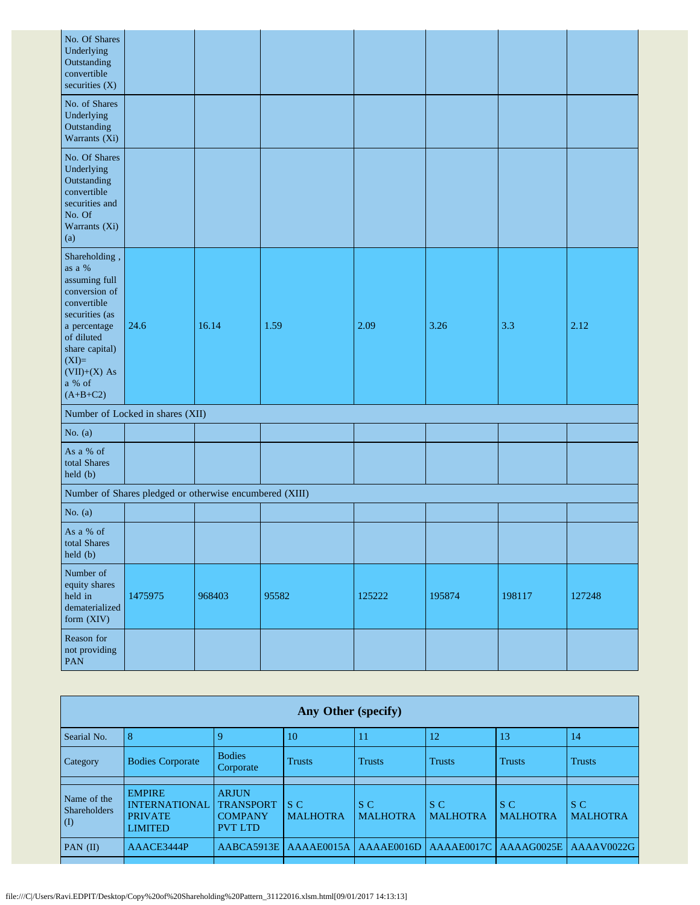| No. Of Shares<br>Underlying<br>Outstanding<br>convertible<br>securities (X)                                                                                                                     |                                                         |        |       |        |        |        |        |
|-------------------------------------------------------------------------------------------------------------------------------------------------------------------------------------------------|---------------------------------------------------------|--------|-------|--------|--------|--------|--------|
| No. of Shares<br>Underlying<br>Outstanding<br>Warrants (Xi)                                                                                                                                     |                                                         |        |       |        |        |        |        |
| No. Of Shares<br>Underlying<br>Outstanding<br>convertible<br>securities and<br>No. Of<br>Warrants (Xi)<br>(a)                                                                                   |                                                         |        |       |        |        |        |        |
| Shareholding,<br>as a %<br>assuming full<br>conversion of<br>convertible<br>securities (as<br>a percentage<br>of diluted<br>share capital)<br>$(XI)=$<br>$(VII)+(X) As$<br>a % of<br>$(A+B+C2)$ | 24.6                                                    | 16.14  | 1.59  | 2.09   | 3.26   | 3.3    | 2.12   |
|                                                                                                                                                                                                 | Number of Locked in shares (XII)                        |        |       |        |        |        |        |
| No. $(a)$                                                                                                                                                                                       |                                                         |        |       |        |        |        |        |
| As a % of<br>total Shares<br>held (b)                                                                                                                                                           |                                                         |        |       |        |        |        |        |
|                                                                                                                                                                                                 | Number of Shares pledged or otherwise encumbered (XIII) |        |       |        |        |        |        |
| No. $(a)$                                                                                                                                                                                       |                                                         |        |       |        |        |        |        |
| As a % of<br>total Shares<br>held(b)                                                                                                                                                            |                                                         |        |       |        |        |        |        |
| Number of<br>equity shares<br>held in<br>dematerialized<br>form (XIV)                                                                                                                           | 1475975                                                 | 968403 | 95582 | 125222 | 195874 | 198117 | 127248 |
| Reason for<br>not providing<br>PAN                                                                                                                                                              |                                                         |        |       |        |        |        |        |

|                                                    | Any Other (specify)                                      |                                                      |                        |                        |                        |                        |                        |  |  |  |  |  |
|----------------------------------------------------|----------------------------------------------------------|------------------------------------------------------|------------------------|------------------------|------------------------|------------------------|------------------------|--|--|--|--|--|
| Searial No.                                        | 8                                                        |                                                      | 10                     |                        | 12                     | 13                     | 14                     |  |  |  |  |  |
| Category                                           | <b>Bodies Corporate</b>                                  | <b>Bodies</b><br>Corporate                           | <b>Trusts</b>          | <b>Trusts</b>          | <b>Trusts</b>          | <b>Trusts</b>          | <b>Trusts</b>          |  |  |  |  |  |
|                                                    | <b>EMPIRE</b>                                            | <b>ARJUN</b>                                         |                        |                        |                        |                        |                        |  |  |  |  |  |
| Name of the<br><b>Shareholders</b><br>$\mathbf{I}$ | <b>INTERNATIONAL</b><br><b>PRIVATE</b><br><b>LIMITED</b> | <b>TRANSPORT</b><br><b>COMPANY</b><br><b>PVT LTD</b> | S C<br><b>MALHOTRA</b> | S C<br><b>MALHOTRA</b> | S C<br><b>MALHOTRA</b> | S C<br><b>MALHOTRA</b> | S C<br><b>MALHOTRA</b> |  |  |  |  |  |
| $PAN$ (II)                                         | AAACE3444P                                               | AABCA5913E                                           | AAAAE0015A             | AAAAE0016D             | AAAAE0017C             | AAAAG0025E             | AAAAV0022G             |  |  |  |  |  |
|                                                    |                                                          |                                                      |                        |                        |                        |                        |                        |  |  |  |  |  |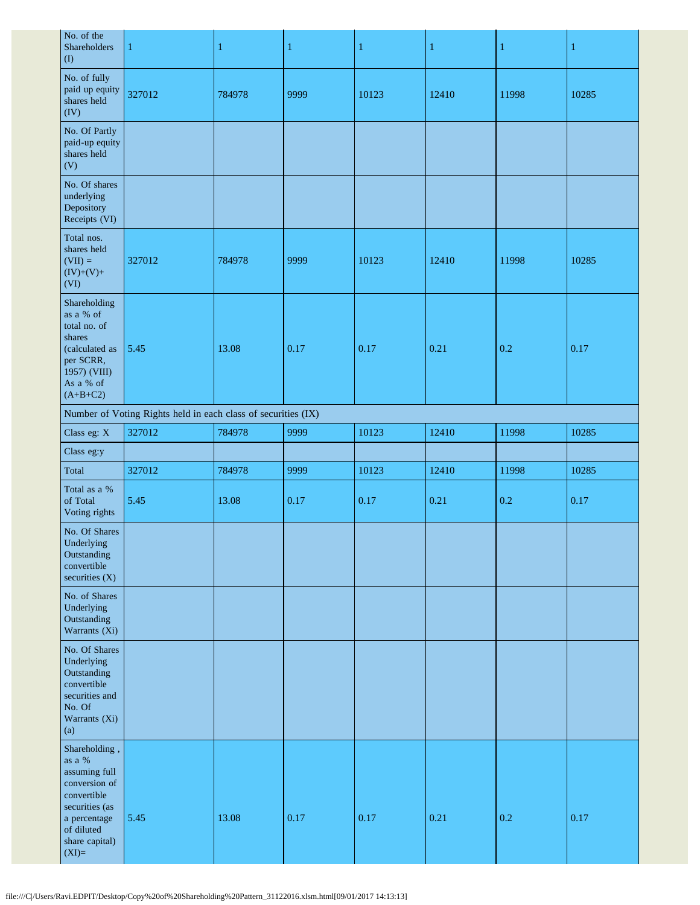| No. of the<br>Shareholders<br>$($ $\Gamma$                                                                                                    | 1                                                             | 1      | $\mathbf{1}$ | 1     | 1     | 1     | $\mathbf{1}$ |
|-----------------------------------------------------------------------------------------------------------------------------------------------|---------------------------------------------------------------|--------|--------------|-------|-------|-------|--------------|
| No. of fully<br>paid up equity<br>shares held<br>(IV)                                                                                         | 327012                                                        | 784978 | 9999         | 10123 | 12410 | 11998 | 10285        |
| No. Of Partly<br>paid-up equity<br>shares held<br>(V)                                                                                         |                                                               |        |              |       |       |       |              |
| No. Of shares<br>underlying<br>Depository<br>Receipts (VI)                                                                                    |                                                               |        |              |       |       |       |              |
| Total nos.<br>shares held<br>$(VII) =$<br>$(IV)+(V)+$<br>(VI)                                                                                 | 327012                                                        | 784978 | 9999         | 10123 | 12410 | 11998 | 10285        |
| Shareholding<br>as a % of<br>total no. of<br>shares<br>(calculated as<br>per SCRR,<br>1957) (VIII)<br>As a % of<br>$(A+B+C2)$                 | 5.45                                                          | 13.08  | 0.17         | 0.17  | 0.21  | 0.2   | 0.17         |
|                                                                                                                                               | Number of Voting Rights held in each class of securities (IX) |        |              |       |       |       |              |
| Class eg: X                                                                                                                                   | 327012                                                        | 784978 | 9999         | 10123 | 12410 | 11998 | 10285        |
| Class eg:y                                                                                                                                    |                                                               |        |              |       |       |       |              |
| Total                                                                                                                                         | 327012                                                        | 784978 | 9999         | 10123 | 12410 | 11998 | 10285        |
| Total as a %<br>of Total<br>Voting rights                                                                                                     | 5.45                                                          | 13.08  | 0.17         | 0.17  | 0.21  | 0.2   | 0.17         |
| No. Of Shares<br>Underlying<br>Outstanding<br>convertible<br>securities (X)                                                                   |                                                               |        |              |       |       |       |              |
| No. of Shares<br>Underlying<br>Outstanding<br>Warrants (Xi)                                                                                   |                                                               |        |              |       |       |       |              |
| No. Of Shares<br>Underlying<br>Outstanding<br>convertible<br>securities and<br>No. Of<br>Warrants (Xi)<br>(a)                                 |                                                               |        |              |       |       |       |              |
| Shareholding,<br>as a $\%$<br>assuming full<br>conversion of<br>convertible<br>securities (as<br>a percentage<br>of diluted<br>share capital) | 5.45                                                          | 13.08  | 0.17         | 0.17  | 0.21  | 0.2   | 0.17         |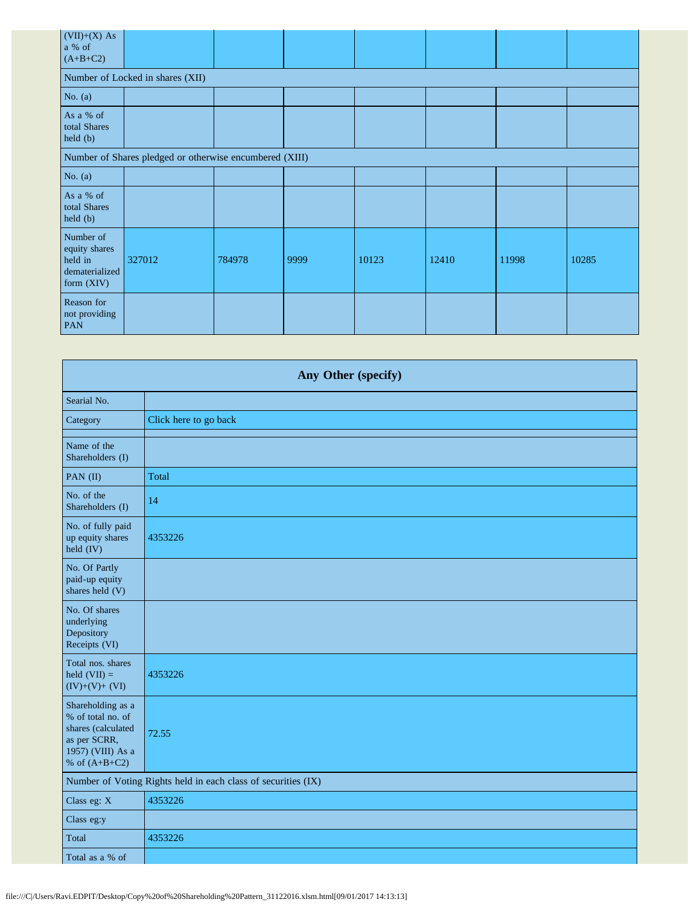| $(VII)+(X) As$<br>a % of<br>$(A+B+C2)$                                |                                                         |        |      |       |       |       |       |  |
|-----------------------------------------------------------------------|---------------------------------------------------------|--------|------|-------|-------|-------|-------|--|
|                                                                       | Number of Locked in shares (XII)                        |        |      |       |       |       |       |  |
| No. $(a)$                                                             |                                                         |        |      |       |       |       |       |  |
| As a % of<br>total Shares<br>held (b)                                 |                                                         |        |      |       |       |       |       |  |
|                                                                       | Number of Shares pledged or otherwise encumbered (XIII) |        |      |       |       |       |       |  |
| No. $(a)$                                                             |                                                         |        |      |       |       |       |       |  |
| As a % of<br>total Shares<br>$\text{held }(b)$                        |                                                         |        |      |       |       |       |       |  |
| Number of<br>equity shares<br>held in<br>dematerialized<br>form (XIV) | 327012                                                  | 784978 | 9999 | 10123 | 12410 | 11998 | 10285 |  |
| Reason for<br>not providing<br>PAN                                    |                                                         |        |      |       |       |       |       |  |

| Any Other (specify)                                                                                                  |                                                               |  |  |  |  |  |
|----------------------------------------------------------------------------------------------------------------------|---------------------------------------------------------------|--|--|--|--|--|
| Searial No.                                                                                                          |                                                               |  |  |  |  |  |
| Category                                                                                                             | Click here to go back                                         |  |  |  |  |  |
| Name of the<br>Shareholders (I)                                                                                      |                                                               |  |  |  |  |  |
| PAN (II)                                                                                                             | Total                                                         |  |  |  |  |  |
| No. of the<br>Shareholders (I)                                                                                       | 14                                                            |  |  |  |  |  |
| No. of fully paid<br>up equity shares<br>$\text{held (IV)}$                                                          | 4353226                                                       |  |  |  |  |  |
| No. Of Partly<br>paid-up equity<br>shares held (V)                                                                   |                                                               |  |  |  |  |  |
| No. Of shares<br>underlying<br>Depository<br>Receipts (VI)                                                           |                                                               |  |  |  |  |  |
| Total nos. shares<br>held $(VII) =$<br>$(IV)+(V)+(VI)$                                                               | 4353226                                                       |  |  |  |  |  |
| Shareholding as a<br>% of total no. of<br>shares (calculated<br>as per SCRR,<br>1957) (VIII) As a<br>% of $(A+B+C2)$ | 72.55                                                         |  |  |  |  |  |
|                                                                                                                      | Number of Voting Rights held in each class of securities (IX) |  |  |  |  |  |
| Class eg: X                                                                                                          | 4353226                                                       |  |  |  |  |  |
| Class eg:y                                                                                                           |                                                               |  |  |  |  |  |
| Total                                                                                                                | 4353226                                                       |  |  |  |  |  |
| Total as a % of                                                                                                      |                                                               |  |  |  |  |  |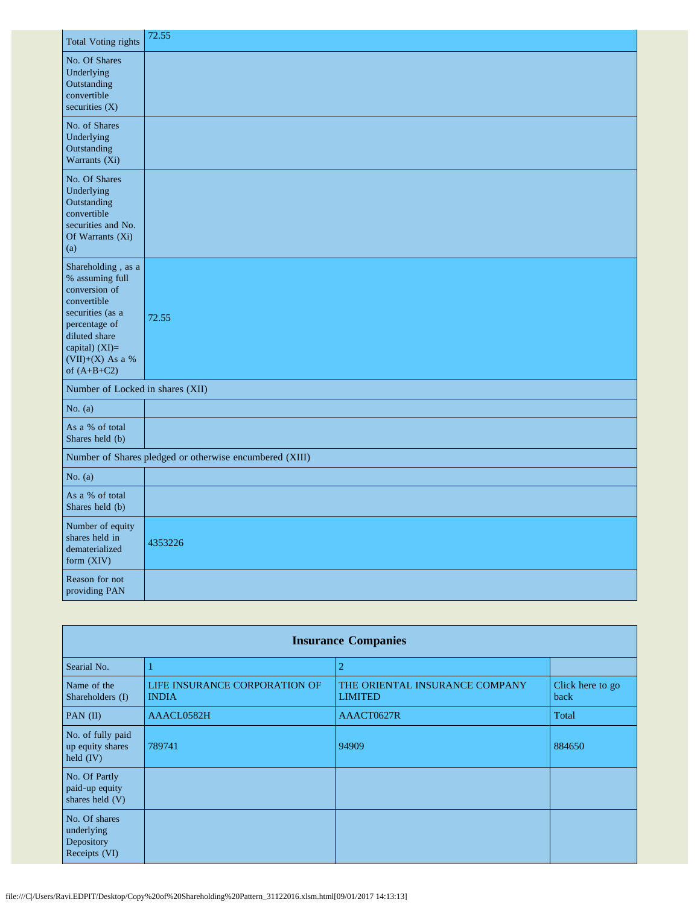| <b>Total Voting rights</b>                                                                                                                                                           | 72.55                                                   |
|--------------------------------------------------------------------------------------------------------------------------------------------------------------------------------------|---------------------------------------------------------|
| No. Of Shares<br>Underlying<br>Outstanding<br>convertible<br>securities $(X)$                                                                                                        |                                                         |
| No. of Shares<br>Underlying<br>Outstanding<br>Warrants (Xi)                                                                                                                          |                                                         |
| No. Of Shares<br>Underlying<br>Outstanding<br>convertible<br>securities and No.<br>Of Warrants (Xi)<br>(a)                                                                           |                                                         |
| Shareholding, as a<br>% assuming full<br>conversion of<br>convertible<br>securities (as a<br>percentage of<br>diluted share<br>capital) (XI)=<br>$(VII)+(X)$ As a %<br>of $(A+B+C2)$ | 72.55                                                   |
| Number of Locked in shares (XII)                                                                                                                                                     |                                                         |
| No. $(a)$                                                                                                                                                                            |                                                         |
| As a % of total<br>Shares held (b)                                                                                                                                                   |                                                         |
|                                                                                                                                                                                      | Number of Shares pledged or otherwise encumbered (XIII) |
| No. $(a)$                                                                                                                                                                            |                                                         |
| As a % of total<br>Shares held (b)                                                                                                                                                   |                                                         |
| Number of equity<br>shares held in<br>dematerialized<br>form (XIV)                                                                                                                   | 4353226                                                 |
| Reason for not<br>providing PAN                                                                                                                                                      |                                                         |

| <b>Insurance Companies</b>                                 |                                               |                                                  |                          |  |  |  |  |
|------------------------------------------------------------|-----------------------------------------------|--------------------------------------------------|--------------------------|--|--|--|--|
| Searial No.                                                |                                               | $\overline{2}$                                   |                          |  |  |  |  |
| Name of the<br>Shareholders (I)                            | LIFE INSURANCE CORPORATION OF<br><b>INDIA</b> | THE ORIENTAL INSURANCE COMPANY<br><b>LIMITED</b> | Click here to go<br>back |  |  |  |  |
| PAN $(II)$                                                 | AAACL0582H                                    | AAACT0627R                                       | Total                    |  |  |  |  |
| No. of fully paid<br>up equity shares<br>held $(IV)$       | 789741                                        | 94909                                            | 884650                   |  |  |  |  |
| No. Of Partly<br>paid-up equity<br>shares held (V)         |                                               |                                                  |                          |  |  |  |  |
| No. Of shares<br>underlying<br>Depository<br>Receipts (VI) |                                               |                                                  |                          |  |  |  |  |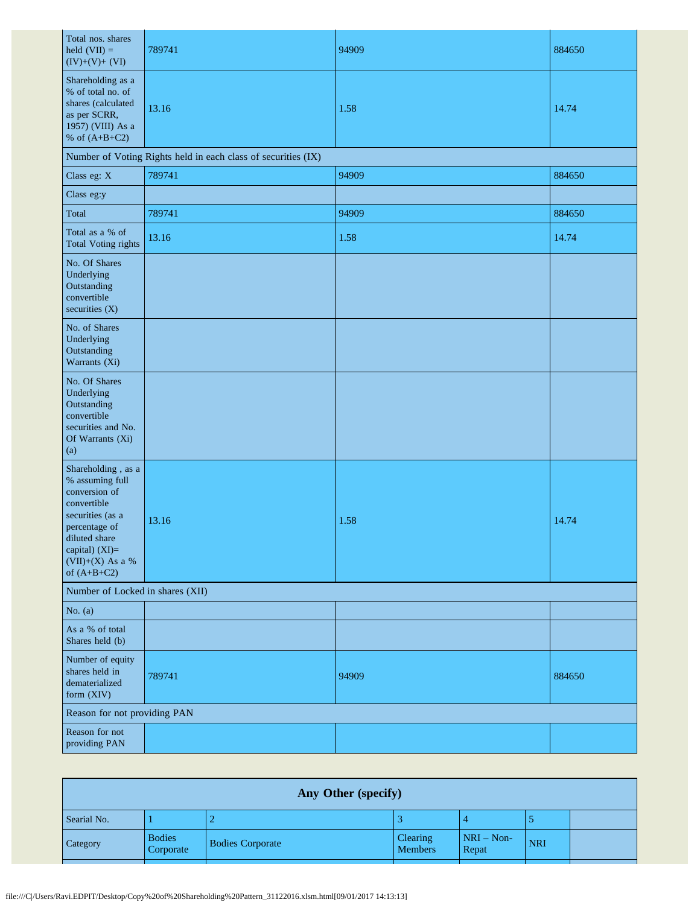| Total nos. shares<br>held $(VII) =$<br>$(IV)+(V)+(VI)$                                                                                                                               | 789741                                                        | 94909 | 884650 |  |  |  |  |  |  |
|--------------------------------------------------------------------------------------------------------------------------------------------------------------------------------------|---------------------------------------------------------------|-------|--------|--|--|--|--|--|--|
| Shareholding as a<br>% of total no. of<br>shares (calculated<br>as per SCRR,<br>1957) (VIII) As a<br>% of $(A+B+C2)$                                                                 | 13.16                                                         | 1.58  | 14.74  |  |  |  |  |  |  |
|                                                                                                                                                                                      | Number of Voting Rights held in each class of securities (IX) |       |        |  |  |  |  |  |  |
| Class eg: X                                                                                                                                                                          | 789741                                                        | 94909 | 884650 |  |  |  |  |  |  |
| Class eg:y                                                                                                                                                                           |                                                               |       |        |  |  |  |  |  |  |
| Total                                                                                                                                                                                | 789741                                                        | 94909 | 884650 |  |  |  |  |  |  |
| Total as a % of<br>Total Voting rights                                                                                                                                               | 13.16                                                         | 1.58  | 14.74  |  |  |  |  |  |  |
| No. Of Shares<br>Underlying<br>Outstanding<br>convertible<br>securities (X)                                                                                                          |                                                               |       |        |  |  |  |  |  |  |
| No. of Shares<br>Underlying<br>Outstanding<br>Warrants (Xi)                                                                                                                          |                                                               |       |        |  |  |  |  |  |  |
| No. Of Shares<br>Underlying<br>Outstanding<br>convertible<br>securities and No.<br>Of Warrants (Xi)<br>(a)                                                                           |                                                               |       |        |  |  |  |  |  |  |
| Shareholding, as a<br>% assuming full<br>conversion of<br>convertible<br>securities (as a<br>percentage of<br>diluted share<br>capital) (XI)=<br>$(VII)+(X)$ As a %<br>of $(A+B+C2)$ | 13.16                                                         | 1.58  | 14.74  |  |  |  |  |  |  |
| Number of Locked in shares (XII)                                                                                                                                                     |                                                               |       |        |  |  |  |  |  |  |
| No. $(a)$                                                                                                                                                                            |                                                               |       |        |  |  |  |  |  |  |
| As a % of total<br>Shares held (b)                                                                                                                                                   |                                                               |       |        |  |  |  |  |  |  |
| Number of equity<br>shares held in<br>dematerialized<br>form (XIV)                                                                                                                   | 789741                                                        | 94909 | 884650 |  |  |  |  |  |  |
| Reason for not providing PAN                                                                                                                                                         |                                                               |       |        |  |  |  |  |  |  |
| Reason for not<br>providing PAN                                                                                                                                                      |                                                               |       |        |  |  |  |  |  |  |

| <b>Any Other (specify)</b> |                            |                         |                            |                       |            |  |  |
|----------------------------|----------------------------|-------------------------|----------------------------|-----------------------|------------|--|--|
| Searial No.                |                            |                         |                            | $\overline{4}$        |            |  |  |
| Category                   | <b>Bodies</b><br>Corporate | <b>Bodies Corporate</b> | Clearing<br><b>Members</b> | $NRI - Non-$<br>Repat | <b>NRI</b> |  |  |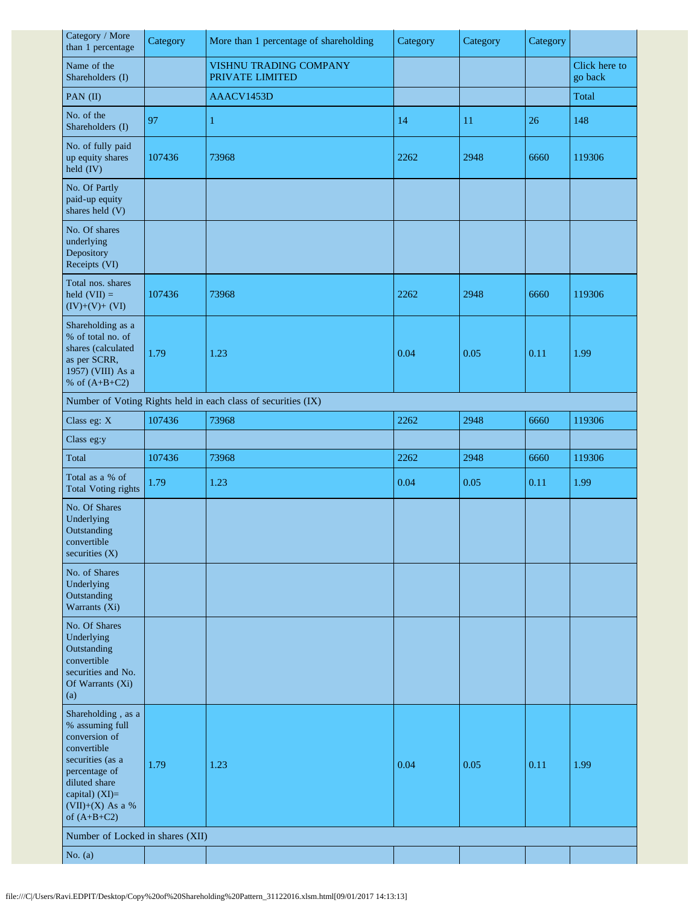| Category / More<br>than 1 percentage                                                                                                                                               | Category | More than 1 percentage of shareholding                        | Category | Category | Category |                          |
|------------------------------------------------------------------------------------------------------------------------------------------------------------------------------------|----------|---------------------------------------------------------------|----------|----------|----------|--------------------------|
| Name of the<br>Shareholders (I)                                                                                                                                                    |          | VISHNU TRADING COMPANY<br>PRIVATE LIMITED                     |          |          |          | Click here to<br>go back |
| PAN (II)                                                                                                                                                                           |          | AAACV1453D                                                    |          |          |          | Total                    |
| No. of the<br>Shareholders (I)                                                                                                                                                     | 97       | 1                                                             | 14       | 11       | 26       | 148                      |
| No. of fully paid<br>up equity shares<br>held (IV)                                                                                                                                 | 107436   | 73968                                                         | 2262     | 2948     | 6660     | 119306                   |
| No. Of Partly<br>paid-up equity<br>shares held (V)                                                                                                                                 |          |                                                               |          |          |          |                          |
| No. Of shares<br>underlying<br>Depository<br>Receipts (VI)                                                                                                                         |          |                                                               |          |          |          |                          |
| Total nos. shares<br>held $(VII) =$<br>$(IV)+(V)+(VI)$                                                                                                                             | 107436   | 73968                                                         | 2262     | 2948     | 6660     | 119306                   |
| Shareholding as a<br>% of total no. of<br>shares (calculated<br>as per SCRR,<br>1957) (VIII) As a<br>% of $(A+B+C2)$                                                               | 1.79     | 1.23                                                          | 0.04     | 0.05     | 0.11     | 1.99                     |
|                                                                                                                                                                                    |          | Number of Voting Rights held in each class of securities (IX) |          |          |          |                          |
| Class eg: X                                                                                                                                                                        | 107436   | 73968                                                         | 2262     | 2948     | 6660     | 119306                   |
| Class eg:y                                                                                                                                                                         |          |                                                               |          |          |          |                          |
| Total                                                                                                                                                                              | 107436   | 73968                                                         | 2262     | 2948     | 6660     | 119306                   |
| Total as a % of<br><b>Total Voting rights</b>                                                                                                                                      | 1.79     | 1.23                                                          | 0.04     | 0.05     | 0.11     | 1.99                     |
| No. Of Shares<br>Underlying<br>Outstanding<br>convertible<br>securities (X)                                                                                                        |          |                                                               |          |          |          |                          |
| No. of Shares<br>Underlying<br>Outstanding<br>Warrants (Xi)                                                                                                                        |          |                                                               |          |          |          |                          |
| No. Of Shares<br>Underlying<br>Outstanding<br>convertible<br>securities and No.<br>Of Warrants (Xi)<br>(a)                                                                         |          |                                                               |          |          |          |                          |
| Shareholding, as a<br>% assuming full<br>conversion of<br>convertible<br>securities (as a<br>percentage of<br>diluted share<br>capital) (XI)=<br>(VII)+(X) As a %<br>of $(A+B+C2)$ | 1.79     | 1.23                                                          | 0.04     | 0.05     | 0.11     | 1.99                     |
| Number of Locked in shares (XII)                                                                                                                                                   |          |                                                               |          |          |          |                          |
| No. $(a)$                                                                                                                                                                          |          |                                                               |          |          |          |                          |